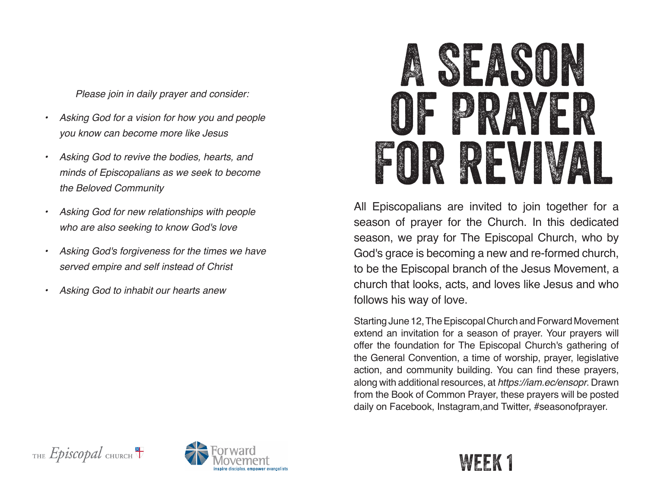*Please join in daily prayer and consider:*

- *• Asking God for a vision for how you and people you know can become more like Jesus*
- *• Asking God to revive the bodies, hearts, and minds of Episcopalians as we seek to become the Beloved Community*
- *• Asking God for new relationships with people who are also seeking to know God's love*
- *• Asking God's forgiveness for the times we have served empire and self instead of Christ*
- *• Asking God to inhabit our hearts anew*



All Episcopalians are invited to join together for a season of prayer for the Church. In this dedicated season, we pray for The Episcopal Church, who by God's grace is becoming a new and re-formed church, to be the Episcopal branch of the Jesus Movement, a church that looks, acts, and loves like Jesus and who follows his way of love.

Starting June 12, The Episcopal Church and Forward Movement extend an invitation for a season of prayer. Your prayers will offer the foundation for The Episcopal Church's gathering of the General Convention, a time of worship, prayer, legislative action, and community building. You can find these prayers, along with additional resources, at *https://iam.ec/ensopr*. Drawn from the Book of Common Prayer, these prayers will be posted daily on Facebook, Instagram,and Twitter, #seasonofprayer.